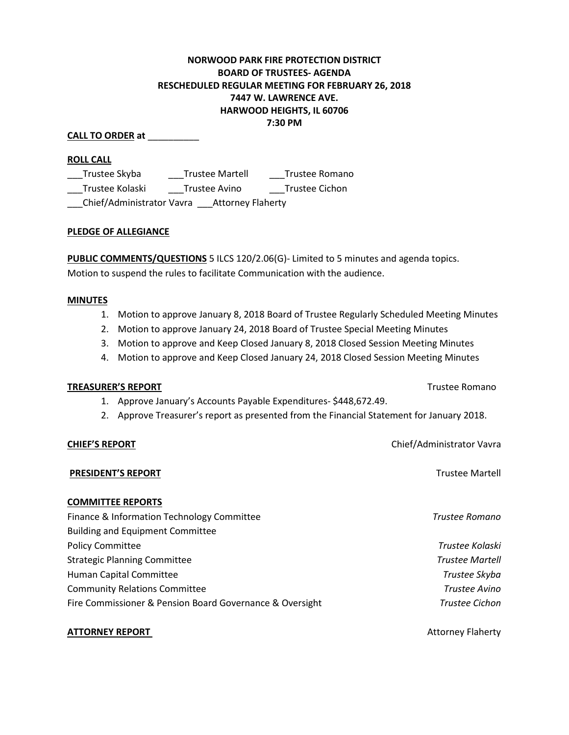## **NORWOOD PARK FIRE PROTECTION DISTRICT BOARD OF TRUSTEES- AGENDA RESCHEDULED REGULAR MEETING FOR FEBRUARY 26, 2018 7447 W. LAWRENCE AVE. HARWOOD HEIGHTS, IL 60706 7:30 PM**

#### **CALL TO ORDER at** \_\_\_\_\_\_\_\_\_\_

#### **ROLL CALL**

\_\_\_Trustee Skyba \_\_\_Trustee Martell \_\_\_Trustee Romano \_\_\_Trustee Kolaski \_\_\_Trustee Avino \_\_\_Trustee Cichon \_\_\_Chief/Administrator Vavra \_\_\_Attorney Flaherty

#### **PLEDGE OF ALLEGIANCE**

**PUBLIC COMMENTS/QUESTIONS** 5 ILCS 120/2.06(G)- Limited to 5 minutes and agenda topics. Motion to suspend the rules to facilitate Communication with the audience.

#### **MINUTES**

- 1. Motion to approve January 8, 2018 Board of Trustee Regularly Scheduled Meeting Minutes
- 2. Motion to approve January 24, 2018 Board of Trustee Special Meeting Minutes
- 3. Motion to approve and Keep Closed January 8, 2018 Closed Session Meeting Minutes
- 4. Motion to approve and Keep Closed January 24, 2018 Closed Session Meeting Minutes

#### **TREASURER'S REPORT** TREASURER'S **REPORT**

- 1. Approve January's Accounts Payable Expenditures- \$448,672.49.
- 2. Approve Treasurer's report as presented from the Financial Statement for January 2018.

#### **CHIEF'S REPORT** CHIEF'S **REPORT CHIEF'S REPORT**

# **PRESIDENT'S REPORT Trustee Martell COMMITTEE REPORTS** Finance & Information Technology Committee *Trustee Romano* Building and Equipment Committee Policy Committee *Trustee Kolaski* Strategic Planning Committee *Trustee Martell* Human Capital Committee *Trustee Skyba* Community Relations Committee *Trustee Avino*  Fire Commissioner & Pension Board Governance & Oversight *Trustee Cichon*

#### **ATTORNEY REPORT 1999 THE REPORT CONSUMING A SERVICE AND ALL STATES AND ALL STATES AND ALL STATES AND ALL STATES AND ALL STATES AND ALL STATES AND ALL STATES AND ALL STATES AND ALL STATES AND ALL STATES AND ALL STATES AND**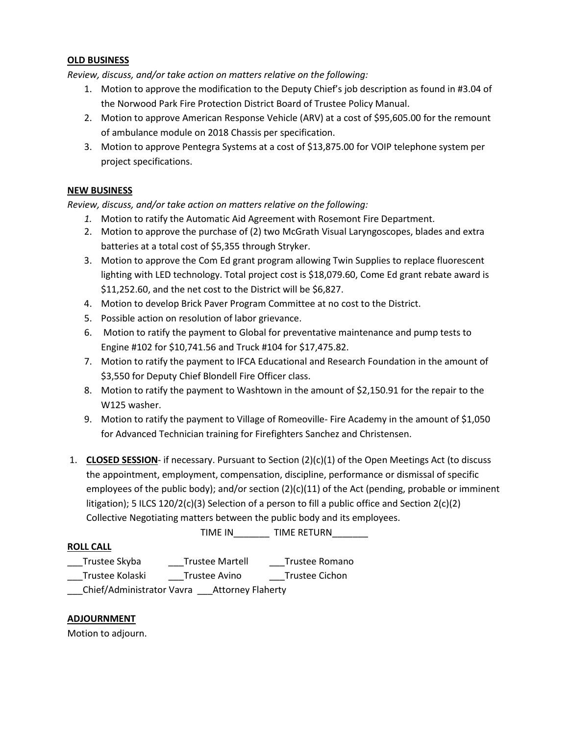#### **OLD BUSINESS**

*Review, discuss, and/or take action on matters relative on the following:*

- 1. Motion to approve the modification to the Deputy Chief's job description as found in #3.04 of the Norwood Park Fire Protection District Board of Trustee Policy Manual.
- 2. Motion to approve American Response Vehicle (ARV) at a cost of \$95,605.00 for the remount of ambulance module on 2018 Chassis per specification.
- 3. Motion to approve Pentegra Systems at a cost of \$13,875.00 for VOIP telephone system per project specifications.

### **NEW BUSINESS**

*Review, discuss, and/or take action on matters relative on the following:*

- *1.* Motion to ratify the Automatic Aid Agreement with Rosemont Fire Department.
- 2. Motion to approve the purchase of (2) two McGrath Visual Laryngoscopes, blades and extra batteries at a total cost of \$5,355 through Stryker.
- 3. Motion to approve the Com Ed grant program allowing Twin Supplies to replace fluorescent lighting with LED technology. Total project cost is \$18,079.60, Come Ed grant rebate award is \$11,252.60, and the net cost to the District will be \$6,827.
- 4. Motion to develop Brick Paver Program Committee at no cost to the District.
- 5. Possible action on resolution of labor grievance.
- 6. Motion to ratify the payment to Global for preventative maintenance and pump tests to Engine #102 for \$10,741.56 and Truck #104 for \$17,475.82.
- 7. Motion to ratify the payment to IFCA Educational and Research Foundation in the amount of \$3,550 for Deputy Chief Blondell Fire Officer class.
- 8. Motion to ratify the payment to Washtown in the amount of \$2,150.91 for the repair to the W125 washer.
- 9. Motion to ratify the payment to Village of Romeoville- Fire Academy in the amount of \$1,050 for Advanced Technician training for Firefighters Sanchez and Christensen.
- 1. **CLOSED SESSION** if necessary. Pursuant to Section (2)(c)(1) of the Open Meetings Act (to discuss the appointment, employment, compensation, discipline, performance or dismissal of specific employees of the public body); and/or section  $(2)(c)(11)$  of the Act (pending, probable or imminent litigation); 5 ILCS 120/2(c)(3) Selection of a person to fill a public office and Section 2(c)(2) Collective Negotiating matters between the public body and its employees.

TIME IN TIME RETURN **ROLL CALL**

\_\_\_Trustee Skyba \_\_\_Trustee Martell \_\_\_Trustee Romano Trustee Kolaski Trustee Avino Trustee Cichon

\_\_\_Chief/Administrator Vavra \_\_\_Attorney Flaherty

#### **ADJOURNMENT**

Motion to adjourn.